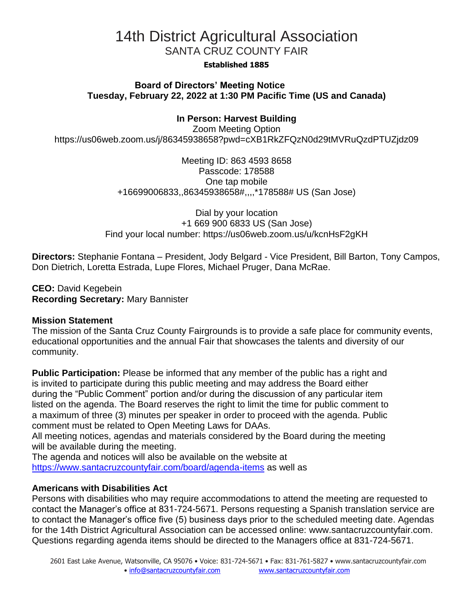# 14th District Agricultural Association SANTA CRUZ COUNTY FAIR

#### **Established 1885**

### **Board of Directors' Meeting Notice Tuesday, February 22, 2022 at 1:30 PM Pacific Time (US and Canada)**

# **In Person: Harvest Building**

Zoom Meeting Option https://us06web.zoom.us/j/86345938658?pwd=cXB1RkZFQzN0d29tMVRuQzdPTUZjdz09

> Meeting ID: 863 4593 8658 Passcode: 178588 One tap mobile +16699006833,,86345938658#,,,,\*178588# US (San Jose)

Dial by your location +1 669 900 6833 US (San Jose) Find your local number: https://us06web.zoom.us/u/kcnHsF2gKH

**Directors:** Stephanie Fontana – President, Jody Belgard - Vice President, Bill Barton, Tony Campos, Don Dietrich, Loretta Estrada, Lupe Flores, Michael Pruger, Dana McRae.

**CEO:** David Kegebein **Recording Secretary:** Mary Bannister

#### **Mission Statement**

The mission of the Santa Cruz County Fairgrounds is to provide a safe place for community events, educational opportunities and the annual Fair that showcases the talents and diversity of our community.

**Public Participation:** Please be informed that any member of the public has a right and is invited to participate during this public meeting and may address the Board either during the "Public Comment" portion and/or during the discussion of any particular item listed on the agenda. The Board reserves the right to limit the time for public comment to a maximum of three (3) minutes per speaker in order to proceed with the agenda. Public comment must be related to Open Meeting Laws for DAAs.

All meeting notices, agendas and materials considered by the Board during the meeting will be available during the meeting.

The agenda and notices will also be available on the website at <https://www.santacruzcountyfair.com/board/agenda-items> as well as

#### **Americans with Disabilities Act**

Persons with disabilities who may require accommodations to attend the meeting are requested to contact the Manager's office at 831-724-5671. Persons requesting a Spanish translation service are to contact the Manager's office five (5) business days prior to the scheduled meeting date. Agendas for the 14th District Agricultural Association can be accessed online: [www.santacruzcountyfair.com.](http://www.santacruzcountyfair.com/) Questions regarding agenda items should be directed to the Managers office at 831-724-5671.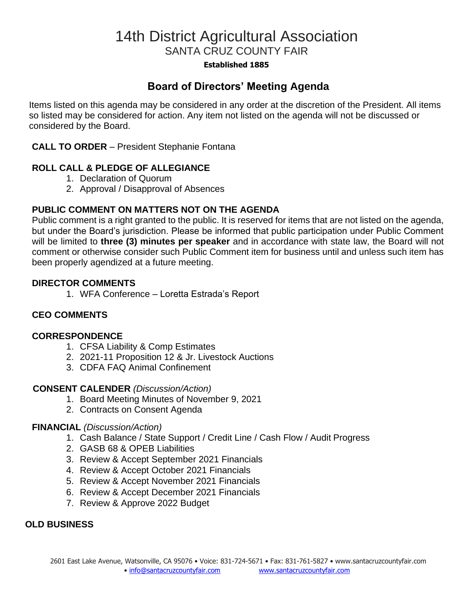# 14th District Agricultural Association SANTA CRUZ COUNTY FAIR

#### **Established 1885**

# **Board of Directors' Meeting Agenda**

Items listed on this agenda may be considered in any order at the discretion of the President. All items so listed may be considered for action. Any item not listed on the agenda will not be discussed or considered by the Board.

### **CALL TO ORDER** – President Stephanie Fontana

# **ROLL CALL & PLEDGE OF ALLEGIANCE**

- 1. Declaration of Quorum
- 2. Approval / Disapproval of Absences

# **PUBLIC COMMENT ON MATTERS NOT ON THE AGENDA**

Public comment is a right granted to the public. It is reserved for items that are not listed on the agenda, but under the Board's jurisdiction. Please be informed that public participation under Public Comment will be limited to **three (3) minutes per speaker** and in accordance with state law, the Board will not comment or otherwise consider such Public Comment item for business until and unless such item has been properly agendized at a future meeting.

#### **DIRECTOR COMMENTS**

1. WFA Conference – Loretta Estrada's Report

# **CEO COMMENTS**

#### **CORRESPONDENCE**

- 1. CFSA Liability & Comp Estimates
- 2. 2021-11 Proposition 12 & Jr. Livestock Auctions
- 3. CDFA FAQ Animal Confinement

#### **CONSENT CALENDER** *(Discussion/Action)*

- 1. Board Meeting Minutes of November 9, 2021
- 2. Contracts on Consent Agenda

#### **FINANCIAL** *(Discussion/Action)*

- 1. Cash Balance / State Support / Credit Line / Cash Flow / Audit Progress
- 2. GASB 68 & OPEB Liabilities
- 3. Review & Accept September 2021 Financials
- 4. Review & Accept October 2021 Financials
- 5. Review & Accept November 2021 Financials
- 6. Review & Accept December 2021 Financials
- 7. Review & Approve 2022 Budget

#### **OLD BUSINESS**